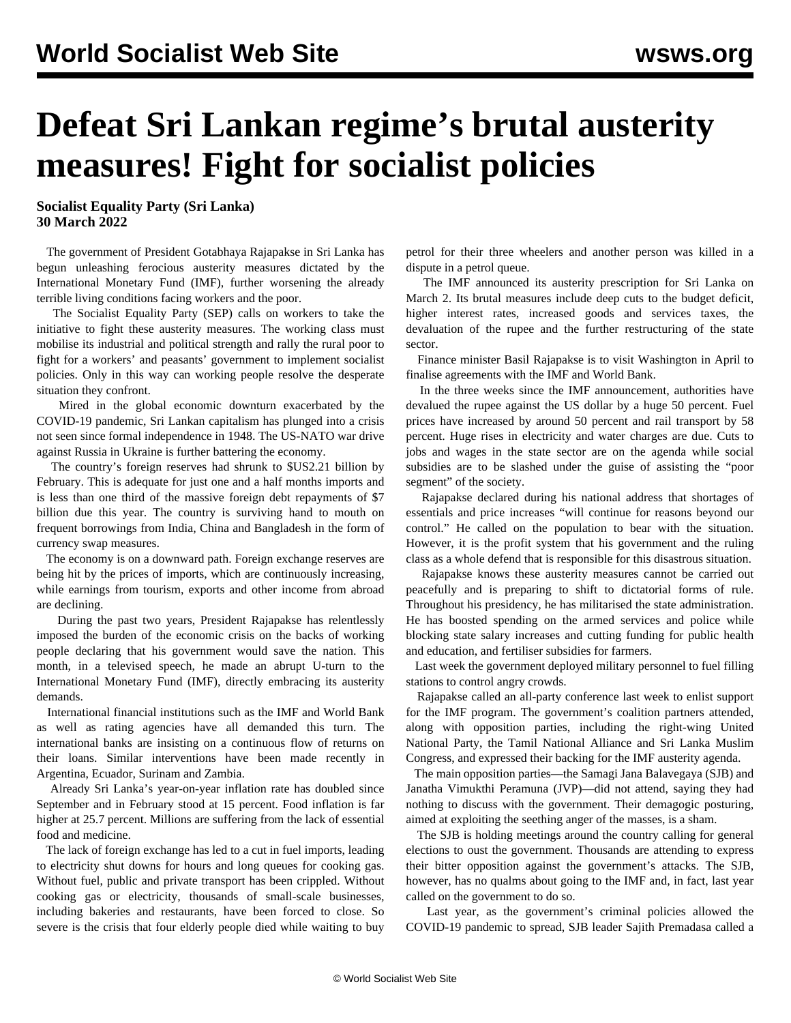## **Defeat Sri Lankan regime's brutal austerity measures! Fight for socialist policies**

**Socialist Equality Party (Sri Lanka) 30 March 2022**

 The government of President Gotabhaya Rajapakse in Sri Lanka has begun unleashing ferocious austerity measures dictated by the International Monetary Fund (IMF), further worsening the already terrible living conditions facing workers and the poor.

 The Socialist Equality Party (SEP) calls on workers to take the initiative to fight these austerity measures. The working class must mobilise its industrial and political strength and rally the rural poor to fight for a workers' and peasants' government to implement socialist policies. Only in this way can working people resolve the desperate situation they confront.

 Mired in the global economic downturn exacerbated by the COVID-19 pandemic, Sri Lankan capitalism has plunged into a crisis not seen since formal independence in 1948. The US-NATO war drive against Russia in Ukraine is further battering the economy.

 The country's foreign reserves had shrunk to \$US2.21 billion by February. This is adequate for just one and a half months imports and is less than one third of the massive foreign debt repayments of \$7 billion due this year. The country is surviving hand to mouth on frequent borrowings from India, China and Bangladesh in the form of currency swap measures.

 The economy is on a downward path. Foreign exchange reserves are being hit by the prices of imports, which are continuously increasing, while earnings from tourism, exports and other income from abroad are declining.

 During the past two years, President Rajapakse has relentlessly imposed the burden of the economic crisis on the backs of working people declaring that his government would save the nation. This month, in a [televised speech,](/en/articles/2022/03/19/aamo-m19.html) he made an abrupt U-turn to the International Monetary Fund (IMF), directly embracing its austerity demands.

 International financial institutions such as the IMF and World Bank as well as rating agencies have all demanded this turn. The international banks are insisting on a continuous flow of returns on their loans. Similar interventions have been made recently in Argentina, Ecuador, Surinam and Zambia.

 Already Sri Lanka's year-on-year inflation rate has doubled since September and in February stood at 15 percent. Food inflation is far higher at 25.7 percent. Millions are suffering from the lack of essential food and medicine.

 The lack of foreign exchange has led to a cut in fuel imports, leading to electricity shut downs for hours and long queues for cooking gas. Without fuel, public and private transport has been crippled. Without cooking gas or electricity, thousands of small-scale businesses, including bakeries and restaurants, have been forced to close. So severe is the crisis that four elderly people died while waiting to buy petrol for their three wheelers and another person was killed in a dispute in a petrol queue.

 The IMF announced its austerity prescription for Sri Lanka on March 2. Its brutal measures include deep cuts to the budget deficit, higher interest rates, increased goods and services taxes, the devaluation of the rupee and the further restructuring of the state sector.

 Finance minister Basil Rajapakse is to visit Washington in April to finalise agreements with the IMF and World Bank.

 In the three weeks since the IMF announcement, authorities have devalued the rupee against the US dollar by a huge 50 percent. Fuel prices have increased by around 50 percent and rail transport by 58 percent. Huge rises in electricity and water charges are due. Cuts to jobs and wages in the state sector are on the agenda while social subsidies are to be slashed under the guise of assisting the "poor segment" of the society.

 Rajapakse declared during his national address that shortages of essentials and price increases "will continue for reasons beyond our control." He called on the population to bear with the situation. However, it is the profit system that his government and the ruling class as a whole defend that is responsible for this disastrous situation.

 Rajapakse knows these austerity measures cannot be carried out peacefully and is preparing to shift to dictatorial forms of rule. Throughout his presidency, he has militarised the state administration. He has boosted spending on the armed services and police while blocking state salary increases and cutting funding for public health and education, and fertiliser subsidies for farmers.

 Last week the government deployed military personnel to fuel filling stations to control angry crowds.

 Rajapakse called an all-party conference last week to enlist support for the IMF program. The government's coalition partners attended, along with opposition parties, including the right-wing United National Party, the Tamil National Alliance and Sri Lanka Muslim Congress, and expressed their backing for the IMF austerity agenda.

 The main opposition parties—the Samagi Jana Balavegaya (SJB) and Janatha Vimukthi Peramuna (JVP)—did not attend, saying they had nothing to discuss with the government. Their demagogic posturing, aimed at exploiting the seething anger of the masses, is a sham.

 The SJB is holding meetings around the country calling for general elections to oust the government. Thousands are attending to express their bitter opposition against the government's attacks. The SJB, however, has no qualms about going to the IMF and, in fact, last year called on the government to do so.

 Last year, as the government's criminal policies allowed the COVID-19 pandemic to spread, SJB leader Sajith Premadasa called a